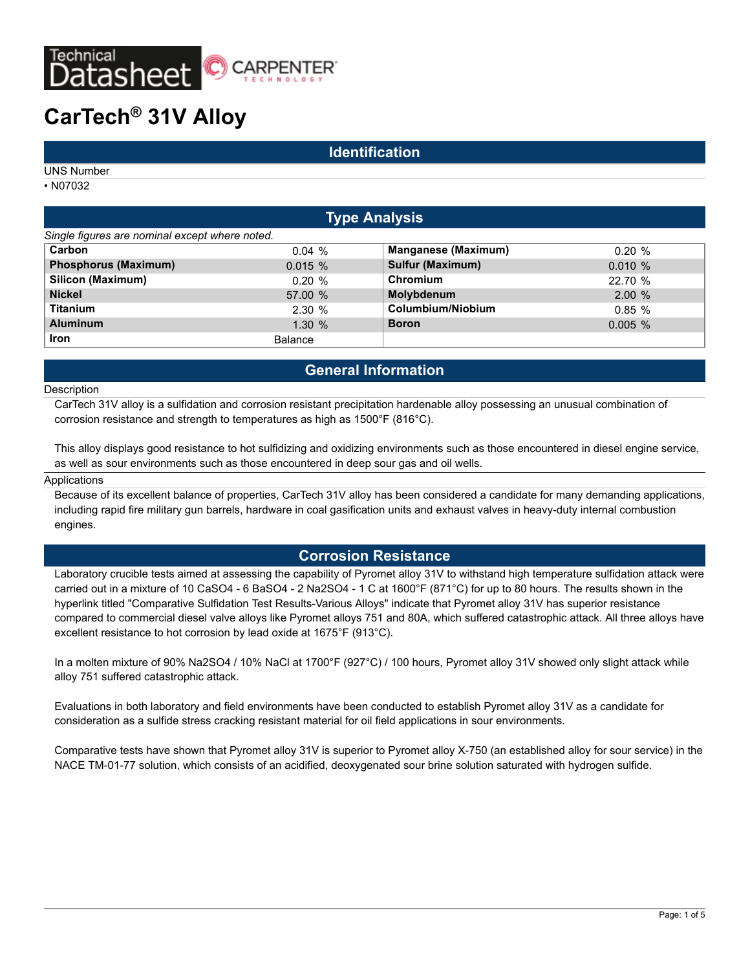

# **CarTech® 31V Alloy**

### **Identification**

UNS Number

• N07032

| <b>Type Analysis</b>                           |                |                            |            |  |  |
|------------------------------------------------|----------------|----------------------------|------------|--|--|
| Single figures are nominal except where noted. |                |                            |            |  |  |
| Carbon                                         | 0.04%          | <b>Manganese (Maximum)</b> | $0.20 \%$  |  |  |
| <b>Phosphorus (Maximum)</b>                    | 0.015%         | Sulfur (Maximum)           | 0.010%     |  |  |
| Silicon (Maximum)                              | $0.20 \%$      | Chromium                   | 22.70 %    |  |  |
| <b>Nickel</b>                                  | 57.00 %        | Molybdenum                 | 2.00%      |  |  |
| <b>Titanium</b>                                | 2.30%          | Columbium/Niobium          | 0.85%      |  |  |
| <b>Aluminum</b>                                | 1.30%          | <b>Boron</b>               | $0.005 \%$ |  |  |
| <b>Iron</b>                                    | <b>Balance</b> |                            |            |  |  |

## **General Information**

#### **Description**

CarTech 31V alloy is a sulfidation and corrosion resistant precipitation hardenable alloy possessing an unusual combination of corrosion resistance and strength to temperatures as high as 1500°F (816°C).

This alloy displays good resistance to hot sulfidizing and oxidizing environments such as those encountered in diesel engine service, as well as sour environments such as those encountered in deep sour gas and oil wells.

#### Applications

Because of its excellent balance of properties, CarTech 31V alloy has been considered a candidate for many demanding applications, including rapid fire military gun barrels, hardware in coal gasification units and exhaust valves in heavy-duty internal combustion engines.

### **Corrosion Resistance**

Laboratory crucible tests aimed at assessing the capability of Pyromet alloy 31V to withstand high temperature sulfidation attack were carried out in a mixture of 10 CaSO4 - 6 BaSO4 - 2 Na2SO4 - 1 C at 1600°F (871°C) for up to 80 hours. The results shown in the hyperlink titled "Comparative Sulfidation Test Results-Various Alloys" indicate that Pyromet alloy 31V has superior resistance compared to commercial diesel valve alloys like Pyromet alloys 751 and 80A, which suffered catastrophic attack. All three alloys have excellent resistance to hot corrosion by lead oxide at 1675°F (913°C).

In a molten mixture of 90% Na2SO4 / 10% NaCl at 1700°F (927°C) / 100 hours, Pyromet alloy 31V showed only slight attack while alloy 751 suffered catastrophic attack.

Evaluations in both laboratory and field environments have been conducted to establish Pyromet alloy 31V as a candidate for consideration as a sulfide stress cracking resistant material for oil field applications in sour environments.

Comparative tests have shown that Pyromet alloy 31V is superior to Pyromet alloy X-750 (an established alloy for sour service) in the NACE TM-01-77 solution, which consists of an acidified, deoxygenated sour brine solution saturated with hydrogen sulfide.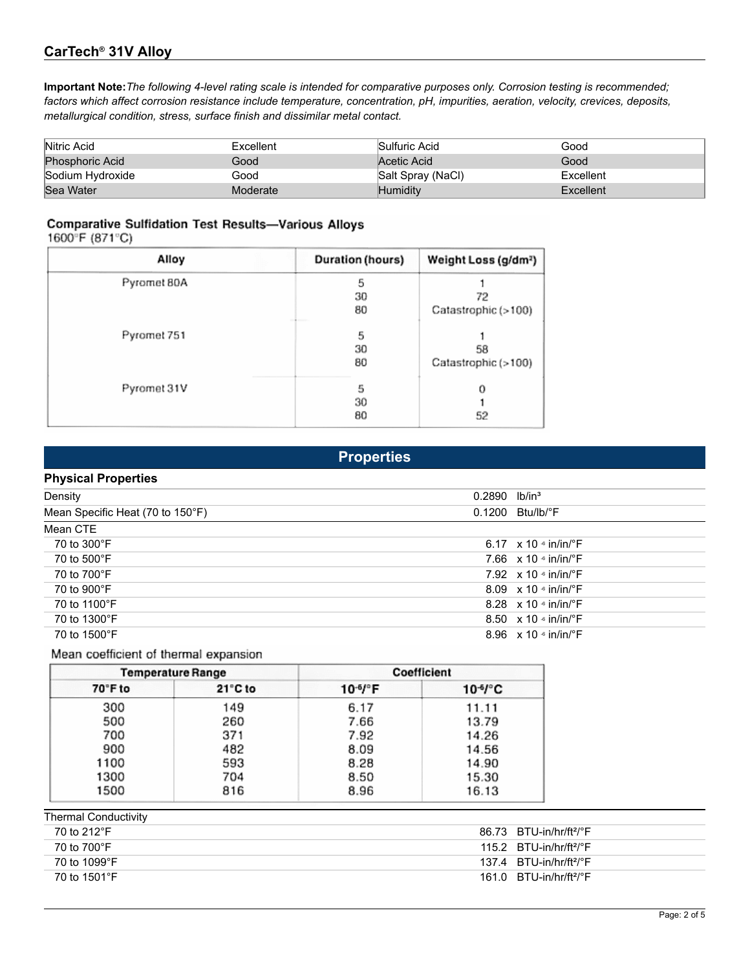## **CarTech® 31V Alloy**

**Important Note:***The following 4-level rating scale is intended for comparative purposes only. Corrosion testing is recommended; factors which affect corrosion resistance include temperature, concentration, pH, impurities, aeration, velocity, crevices, deposits, metallurgical condition, stress, surface finish and dissimilar metal contact.*

| Nitric Acid            | Excellent | Sulfuric Acid     | Good      |
|------------------------|-----------|-------------------|-----------|
| <b>Phosphoric Acid</b> | Good      | Acetic Acid       | Good      |
| Sodium Hydroxide       | Good      | Salt Spray (NaCl) | Excellent |
| Sea Water              | Moderate  | Humiditv          | Excellent |

## **Comparative Sulfidation Test Results-Various Alloys**

1600°F (871°C)

| Alloy       | Duration (hours) | Weight Loss (g/dm <sup>2</sup> ) |
|-------------|------------------|----------------------------------|
| Pyromet 80A | 5                |                                  |
|             | 30               | 72                               |
|             | 80<br>---        | Catastrophic (>100)              |
| Pyromet 751 | 5                |                                  |
|             | 30               | 58                               |
|             | 80               | Catastrophic (>100)              |
| Pyromet 31V | 5                | о                                |
|             | 30               |                                  |
|             | 80               | 52                               |

| <b>FIUDELUES</b>                 |                                           |  |
|----------------------------------|-------------------------------------------|--|
| <b>Physical Properties</b>       |                                           |  |
| Density                          | $0.2890$ lb/in <sup>3</sup>               |  |
| Mean Specific Heat (70 to 150°F) | $0.1200$ Btu/lb/ $\degree$ F              |  |
| Mean CTE                         |                                           |  |
| 70 to 300°F                      | 6.17 $\times$ 10 $\cdot$ in/in/ $\cdot$ F |  |
| 70 to 500°F                      | 7.66 $\times$ 10 $\cdot$ in/in/ $\cdot$ F |  |
| 70 to 700°F                      | 7.92 $\times$ 10 $\cdot$ in/in/ $\cdot$ F |  |
| 70 to 900°F                      | 8.09 $\times$ 10 $\cdot$ in/in/ $\cdot$ F |  |
| 70 to 1100°F                     | 8.28 $\times$ 10 $\cdot$ in/in/ $\cdot$ F |  |
| 70 to 1300°F                     | 8.50 $\times$ 10 $\cdot$ in/in/ $\cdot$ F |  |
| 70 to 1500°F                     | 8.96 $\times$ 10 $\cdot$ in/in/ $\cdot$ F |  |

**Properties**

### Mean coefficient of thermal expansion

|         | <b>Temperature Range</b> |                         | Coefficient         |
|---------|--------------------------|-------------------------|---------------------|
| 70°F to | $21^{\circ}$ C to        | $10^{-6}$ / $\degree$ F | 10 <sup>6</sup> /°C |
| 300     | 149                      | 6.17                    | 11.11               |
| 500     | 260                      | 7.66                    | 13.79               |
| 700     | 371                      | 7.92                    | 14.26               |
| 900     | 482                      | 8.09                    | 14.56               |
| 1100    | 593                      | 8.28                    | 14.90               |
| 1300    | 704                      | 8.50                    | 15.30               |
| 1500    | 816                      | 8.96                    | 16.13               |

| <b>Thermal Conductivity</b>           |  |  |  |  |
|---------------------------------------|--|--|--|--|
| 86.73 BTU-in/hr/ft <sup>2</sup> /°F   |  |  |  |  |
| 115.2 $BTU-in/hr/ft^2/°F$             |  |  |  |  |
| $137.4$ BTU-in/hr/ft <sup>2</sup> /°F |  |  |  |  |
| $161.0$ BTU-in/hr/ft <sup>2</sup> /°F |  |  |  |  |
|                                       |  |  |  |  |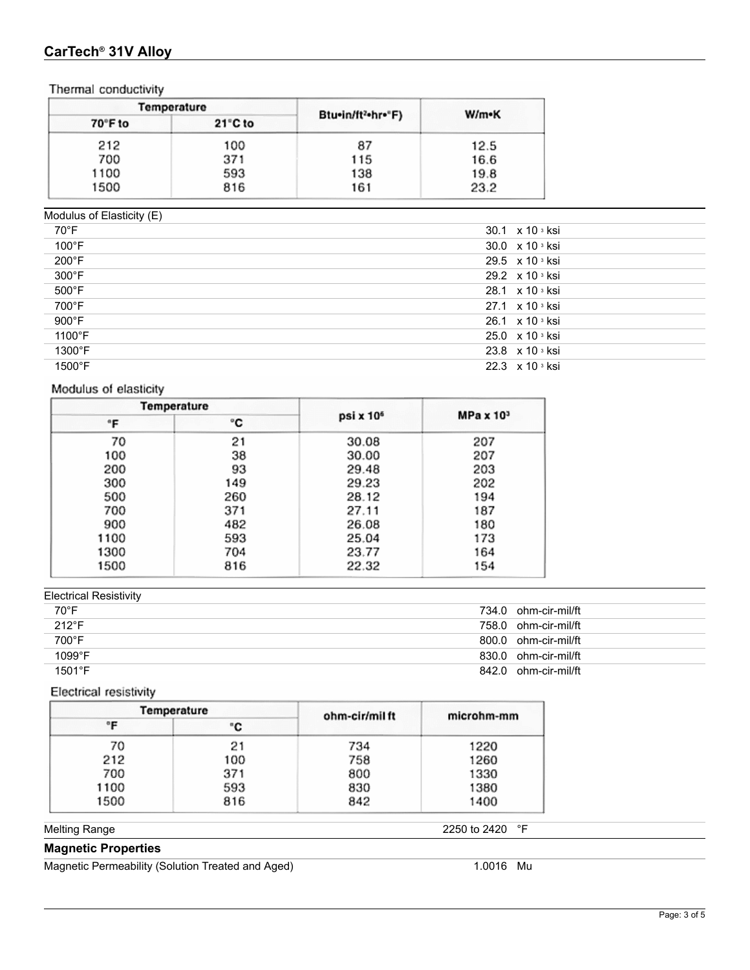## **CarTech® 31V Alloy**

Thermal conductivity

|         | Temperature       |                   |       |  |
|---------|-------------------|-------------------|-------|--|
| 70°F to | $21^{\circ}$ C to | Btu•in/ft2•hr•"F) | W/m•K |  |
| 212     | 100               | 87                | 12.5  |  |
| 700     | 371               | 115               | 16.6  |  |
| 1100    | 593               | 138               | 19.8  |  |
| 1500    | 816               | 161               | 23.2  |  |
|         |                   |                   |       |  |

Modulus of Elasticity (E)

| 70°F            | 30.1 x 10 3 ksi                     |
|-----------------|-------------------------------------|
| 100°F           | 30.0 $\times$ 10 $\degree$ ksi      |
| 200°F           | 29.5 $\times$ 10 $\frac{3}{10}$ ksi |
| $300^{\circ}$ F | 29.2 x 10 s ksi                     |
| $500^{\circ}$ F | 28.1 $\times$ 10 $\frac{3}{10}$ ksi |
| 700°F           | 27.1 $\times$ 10 <sup>3</sup> ksi   |
| $900^{\circ}$ F | 26.1 $\times$ 10 $\frac{3}{10}$ ksi |
| 1100°F          | 25.0 x 10 s ksi                     |
| 1300°F          | 23.8 $\times$ 10 $\frac{3}{10}$ ksi |
| 1500°F          | 22.3 $\times$ 10 $\frac{3}{10}$ ksi |

## Modulus of elasticity

|      | Temperature |                       |                  |
|------|-------------|-----------------------|------------------|
| °F   | ۰c          | psi x 10 <sup>6</sup> | $MPa \times 103$ |
| 70   | 21          | 30.08                 | 207              |
| 100  | 38          | 30.00                 | 207              |
| 200  | 93          | 29.48                 | 203              |
| 300  | 149         | 29.23                 | 202              |
| 500  | 260         | 28.12                 | 194              |
| 700  | 371         | 27.11                 | 187              |
| 900  | 482         | 26.08                 | 180              |
| 1100 | 593         | 25.04                 | 173              |
| 1300 | 704         | 23.77                 | 164              |
| 1500 | 816         | 22.32                 | 154              |

## Electrical Resistivity

| 70°F            | 734.0 ohm-cir-mil/ft |
|-----------------|----------------------|
| $212^{\circ}F$  | 758.0 ohm-cir-mil/ft |
| 700°F           | 800.0 ohm-cir-mil/ft |
| $1099^{\circ}F$ | 830.0 ohm-cir-mil/ft |
| $1501^{\circ}F$ | 842.0 ohm-cir-mil/ft |
|                 |                      |

## Electrical resistivity

| Temperature |     | ohm-cir/mil ft | microhm-mm |
|-------------|-----|----------------|------------|
| °F          | "C  |                |            |
| 70          | 21  | 734            | 1220       |
| 212         | 100 | 758            | 1260       |
| 700         | 371 | 800            | 1330       |
| 1100        | 593 | 830            | 1380       |
| 1500        | 816 | 842            | 1400       |

Melting Range 2250 to 2420 °F

## **Magnetic Properties**

Magnetic Permeability (Solution Treated and Aged) 1.0016 Mu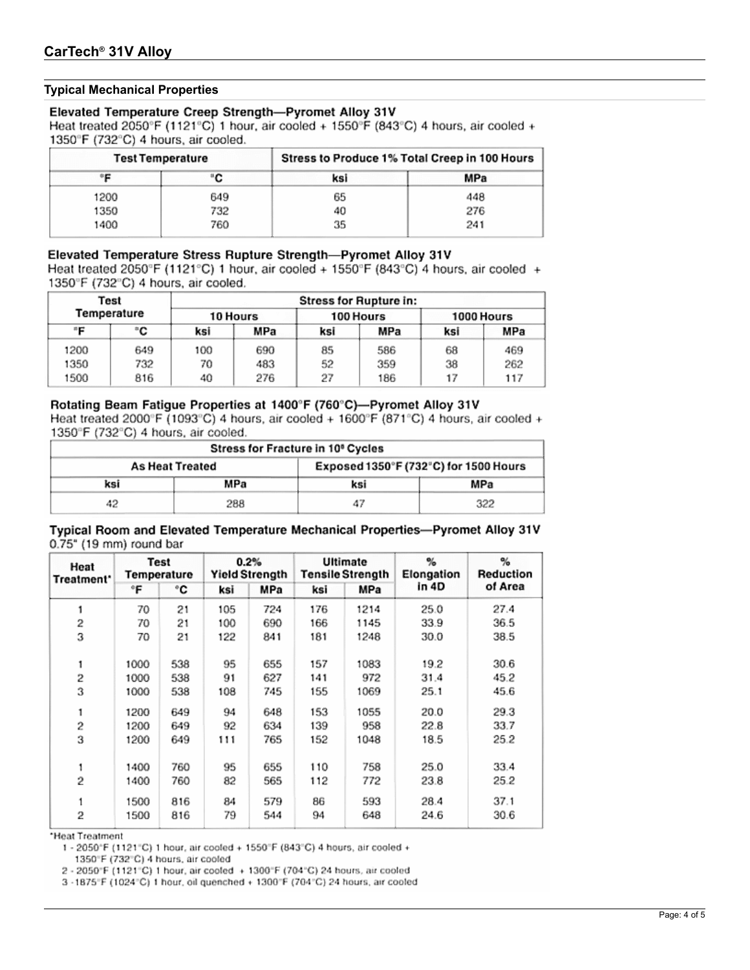### **Typical Mechanical Properties**

#### Elevated Temperature Creep Strength-Pyromet Alloy 31V

Heat treated 2050°F (1121°C) 1 hour, air cooled + 1550°F (843°C) 4 hours, air cooled + 1350°F (732°C) 4 hours, air cooled.

| <b>Test Temperature</b> |     | Stress to Produce 1% Total Creep in 100 Hours |     |  |
|-------------------------|-----|-----------------------------------------------|-----|--|
| ٠F                      | ۰C  | ksi                                           | MPa |  |
| 1200                    | 649 | 65                                            | 448 |  |
| 1350                    | 732 | 40                                            | 276 |  |
| 1400                    | 760 | 35                                            | 241 |  |

### Elevated Temperature Stress Rupture Strength-Pyromet Alloy 31V

Heat treated 2050°F (1121°C) 1 hour, air cooled + 1550°F (843°C) 4 hours, air cooled + 1350°F (732°C) 4 hours, air cooled.

| Test<br>Temperature |     | <b>Stress for Rupture in:</b> |     |           |     |            |     |  |
|---------------------|-----|-------------------------------|-----|-----------|-----|------------|-----|--|
|                     |     | 10 Hours                      |     | 100 Hours |     | 1000 Hours |     |  |
| ÷Έ                  | ۰c  | ksi                           | MPa | ksi       | MPa | ksi        | MPa |  |
| 1200                | 649 | 100                           | 690 | 85        | 586 | 68         | 469 |  |
| 1350                | 732 | 70                            | 483 | 52        | 359 | 38         | 262 |  |
| 1500                | 816 | 40                            | 276 | 27        | 186 | 17         | 117 |  |

#### Rotating Beam Fatigue Properties at 1400°F (760°C)-Pyromet Alloy 31V Heat treated 2000°F (1093°C) 4 hours, air cooled + 1600°F (871°C) 4 hours, air cooled +

1350°F (732°C) 4 hours, air cooled.

| Stress for Fracture in 10° Cycles |                        |                                       |     |  |  |  |  |
|-----------------------------------|------------------------|---------------------------------------|-----|--|--|--|--|
|                                   | <b>As Heat Treated</b> | Exposed 1350°F (732°C) for 1500 Hours |     |  |  |  |  |
| ksi                               | MPa                    | ksi                                   | MPa |  |  |  |  |
| 42                                | 288                    | 47                                    | 322 |  |  |  |  |

#### Typical Room and Elevated Temperature Mechanical Properties-Pyromet Alloy 31V 0.75" (19 mm) round bar

| Heat<br>Treatment* | <b>Test</b><br>Temperature |     | 0.2%<br><b>Yield Strength</b> |     | <b>Ultimate</b><br><b>Tensile Strength</b> |      | %<br>Elongation | $\%$<br>Reduction |
|--------------------|----------------------------|-----|-------------------------------|-----|--------------------------------------------|------|-----------------|-------------------|
|                    | °F                         | ۰c  | ksi                           | MPa | ksi                                        | MPa  | in 4D           | of Area           |
| 1                  | 70                         | 21  | 105                           | 724 | 176                                        | 1214 | 25.0            | 27.4              |
| 2                  | 70                         | 21  | 100                           | 690 | 166                                        | 1145 | 33.9            | 36.5              |
| 3                  | 70                         | 21  | 122                           | 841 | 181                                        | 1248 | 30.0            | 38.5              |
| 1                  | 1000                       | 538 | 95                            | 655 | 157                                        | 1083 | 19.2            | 30.6              |
| 2                  | 1000                       | 538 | 91                            | 627 | 141                                        | 972  | 31.4            | 45.2              |
| 3                  | 1000                       | 538 | 108                           | 745 | 155                                        | 1069 | 25.1            | 45.6              |
| 1                  | 1200                       | 649 | 94                            | 648 | 153                                        | 1055 | 20.0            | 29.3              |
| 2                  | 1200                       | 649 | 92                            | 634 | 139                                        | 958  | 22.8            | 33.7              |
| 3                  | 1200                       | 649 | 111                           | 765 | 152                                        | 1048 | 18.5            | 25.2              |
| 1                  | 1400                       | 760 | 95                            | 655 | 110                                        | 758  | 25.0            | 33.4              |
| 2                  | 1400                       | 760 | 82                            | 565 | 112                                        | 772  | 23.8            | 25.2              |
|                    | 1500                       | 816 | 84                            | 579 | 86                                         | 593  | 28.4            | 37.1              |
| 2                  | 1500                       | 816 | 79                            | 544 | 94                                         | 648  | 24.6            | 30.6              |

\*Heat Treatment

1 - 2050°F (1121°C) 1 hour, air cooled + 1550°F (843°C) 4 hours, air cooled +

1350°F (732°C) 4 hours, air cooled

2 - 2050°F (1121°C) 1 hour, air cooled + 1300°F (704°C) 24 hours, air cooled

3 -1875°F (1024°C) 1 hour, oil quenched + 1300°F (704°C) 24 hours, air cooled